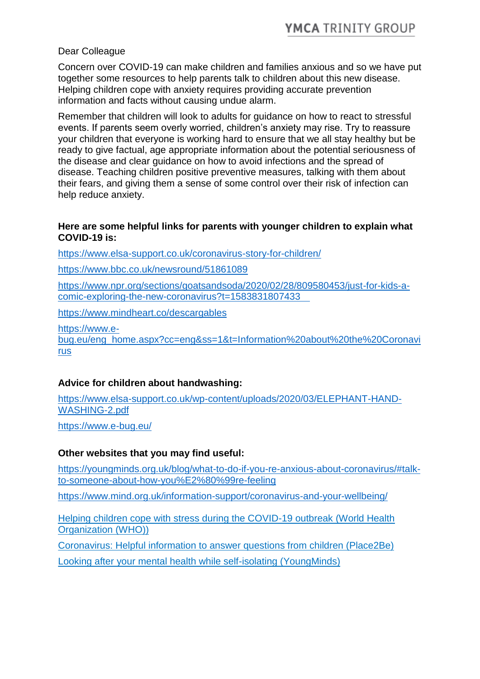# Dear Colleague

Concern over COVID-19 can make children and families anxious and so we have put together some resources to help parents talk to children about this new disease. Helping children cope with anxiety requires providing accurate prevention information and facts without causing undue alarm.

Remember that children will look to adults for guidance on how to react to stressful events. If parents seem overly worried, children's anxiety may rise. Try to reassure your children that everyone is working hard to ensure that we all stay healthy but be ready to give factual, age appropriate information about the potential seriousness of the disease and clear guidance on how to avoid infections and the spread of disease. Teaching children positive preventive measures, talking with them about their fears, and giving them a sense of some control over their risk of infection can help reduce anxiety.

### **Here are some helpful links for parents with younger children to explain what COVID-19 is:**

<https://www.elsa-support.co.uk/coronavirus-story-for-children/>

<https://www.bbc.co.uk/newsround/51861089>

[https://www.npr.org/sections/goatsandsoda/2020/02/28/809580453/just-for-kids-a](https://www.npr.org/sections/goatsandsoda/2020/02/28/809580453/just-for-kids-a-comic-exploring-the-new-coronavirus?t=1583831807433)[comic-exploring-the-new-coronavirus?t=1583831807433](https://www.npr.org/sections/goatsandsoda/2020/02/28/809580453/just-for-kids-a-comic-exploring-the-new-coronavirus?t=1583831807433)

<https://www.mindheart.co/descargables>

[https://www.e-](https://www.e-bug.eu/eng_home.aspx?cc=eng&ss=1&t=Information%20about%20the%20Coronavirus)

[bug.eu/eng\\_home.aspx?cc=eng&ss=1&t=Information%20about%20the%20Coronavi](https://www.e-bug.eu/eng_home.aspx?cc=eng&ss=1&t=Information%20about%20the%20Coronavirus) [rus](https://www.e-bug.eu/eng_home.aspx?cc=eng&ss=1&t=Information%20about%20the%20Coronavirus)

# **Advice for children about handwashing:**

[https://www.elsa-support.co.uk/wp-content/uploads/2020/03/ELEPHANT-HAND-](https://www.elsa-support.co.uk/wp-content/uploads/2020/03/ELEPHANT-HAND-WASHING-2.pdf)[WASHING-2.pdf](https://www.elsa-support.co.uk/wp-content/uploads/2020/03/ELEPHANT-HAND-WASHING-2.pdf)

<https://www.e-bug.eu/>

# **Other websites that you may find useful:**

[https://youngminds.org.uk/blog/what-to-do-if-you-re-anxious-about-coronavirus/#talk](https://youngminds.org.uk/blog/what-to-do-if-you-re-anxious-about-coronavirus/#talk-to-someone-about-how-you%E2%80%99re-feeling)[to-someone-about-how-you%E2%80%99re-feeling](https://youngminds.org.uk/blog/what-to-do-if-you-re-anxious-about-coronavirus/#talk-to-someone-about-how-you%E2%80%99re-feeling)

<https://www.mind.org.uk/information-support/coronavirus-and-your-wellbeing/>

[Helping children cope with stress during the COVID-19 outbreak \(World Health](https://lnks.gd/l/eyJhbGciOiJIUzI1NiJ9.eyJidWxsZXRpbl9saW5rX2lkIjoxMTYsInVyaSI6ImJwMjpjbGljayIsImJ1bGxldGluX2lkIjoiMjAyMDAzMTkuMTg5NjkyNDEiLCJ1cmwiOiJodHRwOi8vdHJhbnNpdC5saW5leHN5c3RlbXMuY29tL3RyYWNrL2NsaWNrLzMwMzcwODYxL2NhLmxpbmV4c3lzdGVtcy5jb20_cD1leUp6SWpvaVVtRkhWR28xWDFad1EybFNaRE5TU2pSMlZVcElRVFZFTW1zd0lpd2lkaUk2TVN3aWNDSTZJbnRjSW5WY0lqb3pNRE0zTURnMk1TeGNJblpjSWpveExGd2lkWEpzWENJNlhDSm9kSFJ3T2x4Y1hDOWNYRnd2WTJFdWJHbHVaWGh6ZVhOMFpXMXpMbU52YlZ4Y1hDOWpiMjUwWlc1MGMxeGNYQzkwY21GdWMybDBYRnhjTHpNMk5qSTRPVGN5T1RVX2RYTmxjbDlwWkQwNE1EVXpNVFVtYkc5blBXWTJNVE5oTTJVeVpXUTFZbUpqWkRJd05URmlOMk5rTWpBeVlUYzFPR1ExSm5BOU9UTXhNemM1TlRVbWJUMHhKbk05TVRrMk16RTFKbTl5WjE5cFpEMHpOelF4TVRJMVhDSXNYQ0pwWkZ3aU9sd2lObU14WkRrNE56QmlZVEUwTkRoak5EazFNR1EzTVdNMVl6aGxNemt6WVdGY0lpeGNJblZ5YkY5cFpITmNJanBiWENJd05XVTVZak5tTVdZNU9Ea3dOVFJtWlROaVl6Z3lOR0ZrT0daaE1XSTRaakZtTWpNMVpERXpYQ0pkZlNKOSJ9.l5Km-u0pgnI0eIEeLhK1uJT9v6l8cY9z1mIjRx8V0VU/br/76331714102-l)  [Organization \(WHO\)\)](https://lnks.gd/l/eyJhbGciOiJIUzI1NiJ9.eyJidWxsZXRpbl9saW5rX2lkIjoxMTYsInVyaSI6ImJwMjpjbGljayIsImJ1bGxldGluX2lkIjoiMjAyMDAzMTkuMTg5NjkyNDEiLCJ1cmwiOiJodHRwOi8vdHJhbnNpdC5saW5leHN5c3RlbXMuY29tL3RyYWNrL2NsaWNrLzMwMzcwODYxL2NhLmxpbmV4c3lzdGVtcy5jb20_cD1leUp6SWpvaVVtRkhWR28xWDFad1EybFNaRE5TU2pSMlZVcElRVFZFTW1zd0lpd2lkaUk2TVN3aWNDSTZJbnRjSW5WY0lqb3pNRE0zTURnMk1TeGNJblpjSWpveExGd2lkWEpzWENJNlhDSm9kSFJ3T2x4Y1hDOWNYRnd2WTJFdWJHbHVaWGh6ZVhOMFpXMXpMbU52YlZ4Y1hDOWpiMjUwWlc1MGMxeGNYQzkwY21GdWMybDBYRnhjTHpNMk5qSTRPVGN5T1RVX2RYTmxjbDlwWkQwNE1EVXpNVFVtYkc5blBXWTJNVE5oTTJVeVpXUTFZbUpqWkRJd05URmlOMk5rTWpBeVlUYzFPR1ExSm5BOU9UTXhNemM1TlRVbWJUMHhKbk05TVRrMk16RTFKbTl5WjE5cFpEMHpOelF4TVRJMVhDSXNYQ0pwWkZ3aU9sd2lObU14WkRrNE56QmlZVEUwTkRoak5EazFNR1EzTVdNMVl6aGxNemt6WVdGY0lpeGNJblZ5YkY5cFpITmNJanBiWENJd05XVTVZak5tTVdZNU9Ea3dOVFJtWlROaVl6Z3lOR0ZrT0daaE1XSTRaakZtTWpNMVpERXpYQ0pkZlNKOSJ9.l5Km-u0pgnI0eIEeLhK1uJT9v6l8cY9z1mIjRx8V0VU/br/76331714102-l)

[Coronavirus: Helpful information to answer questions from children \(Place2Be\)](https://lnks.gd/l/eyJhbGciOiJIUzI1NiJ9.eyJidWxsZXRpbl9saW5rX2lkIjoxMTcsInVyaSI6ImJwMjpjbGljayIsImJ1bGxldGluX2lkIjoiMjAyMDAzMTkuMTg5NjkyNDEiLCJ1cmwiOiJodHRwOi8vdHJhbnNpdC5saW5leHN5c3RlbXMuY29tL3RyYWNrL2NsaWNrLzMwMzcwODYxL2NhLmxpbmV4c3lzdGVtcy5jb20_cD1leUp6SWpvaWFqTk1RbGwxTkhjM1EwOVNTWFJZT0hoRFkyeFNkekJCVUdodklpd2lkaUk2TVN3aWNDSTZJbnRjSW5WY0lqb3pNRE0zTURnMk1TeGNJblpjSWpveExGd2lkWEpzWENJNlhDSm9kSFJ3T2x4Y1hDOWNYRnd2WTJFdWJHbHVaWGh6ZVhOMFpXMXpMbU52YlZ4Y1hDOWpiMjUwWlc1MGMxeGNYQzkwY21GdWMybDBYRnhjTHpNMk5UY3dPRFF4TURVX2RYTmxjbDlwWkQwNE1EVXpNVFVtYkc5blBXWTJNVE5oTTJVeVpXUTFZbUpqWkRJd05URmlOMk5rTWpBeVlUYzFPR1ExSm5BOU9UTXhNemM1TlRVbWJUMHhKbk05TVRrMk16RTFKbTl5WjE5cFpEMDNNekl6T0RaY0lpeGNJbWxrWENJNlhDSTJZekZrT1RnM01HSmhNVFEwT0dNME9UVXdaRGN4WXpWak9HVXpPVE5oWVZ3aUxGd2lkWEpzWDJsa2Mxd2lPbHRjSWpBMVpUbGlNMll4WmprNE9UQTFOR1psTTJKak9ESTBZV1E0Wm1FeFlqaG1NV1l5TXpWa01UTmNJbDE5SW4wIn0.qy-7mKRZ64uhspEBowLiQbRm1y6Y9t3BGttk0x1_yTY/br/76331714102-l)

[Looking after your mental health while self-isolating \(YoungMinds\)](https://lnks.gd/l/eyJhbGciOiJIUzI1NiJ9.eyJidWxsZXRpbl9saW5rX2lkIjoxMTgsInVyaSI6ImJwMjpjbGljayIsImJ1bGxldGluX2lkIjoiMjAyMDAzMTkuMTg5NjkyNDEiLCJ1cmwiOiJodHRwOi8vdHJhbnNpdC5saW5leHN5c3RlbXMuY29tL3RyYWNrL2NsaWNrLzMwMzcwODYxL2NhLmxpbmV4c3lzdGVtcy5jb20_cD1leUp6SWpvaVpHOWxlSG96YlVsWVp6UTVUM05vYUZCaVprNXVUMU41TkV0aklpd2lkaUk2TVN3aWNDSTZJbnRjSW5WY0lqb3pNRE0zTURnMk1TeGNJblpjSWpveExGd2lkWEpzWENJNlhDSm9kSFJ3T2x4Y1hDOWNYRnd2WTJFdWJHbHVaWGh6ZVhOMFpXMXpMbU52YlZ4Y1hDOWpiMjUwWlc1MGMxeGNYQzkwY21GdWMybDBYRnhjTHpNMk5qRXpNekkzT1RVX2RYTmxjbDlwWkQwNE1EVXpNVFVtYkc5blBXWTJNVE5oTTJVeVpXUTFZbUpqWkRJd05URmlOMk5rTWpBeVlUYzFPR1ExSm5BOU9UTXhNemM1TlRVbWJUMHhKbk05TVRrMk16RTFKbTl5WjE5cFpEMDNNekl6TnpaY0lpeGNJbWxrWENJNlhDSTJZekZrT1RnM01HSmhNVFEwT0dNME9UVXdaRGN4WXpWak9HVXpPVE5oWVZ3aUxGd2lkWEpzWDJsa2Mxd2lPbHRjSWpBMVpUbGlNMll4WmprNE9UQTFOR1psTTJKak9ESTBZV1E0Wm1FeFlqaG1NV1l5TXpWa01UTmNJbDE5SW4wIn0.pd-ln5V4rYmBhFmuTPuht7lfCiLQRlfbAvqN2V2D9gs/br/76331714102-l)